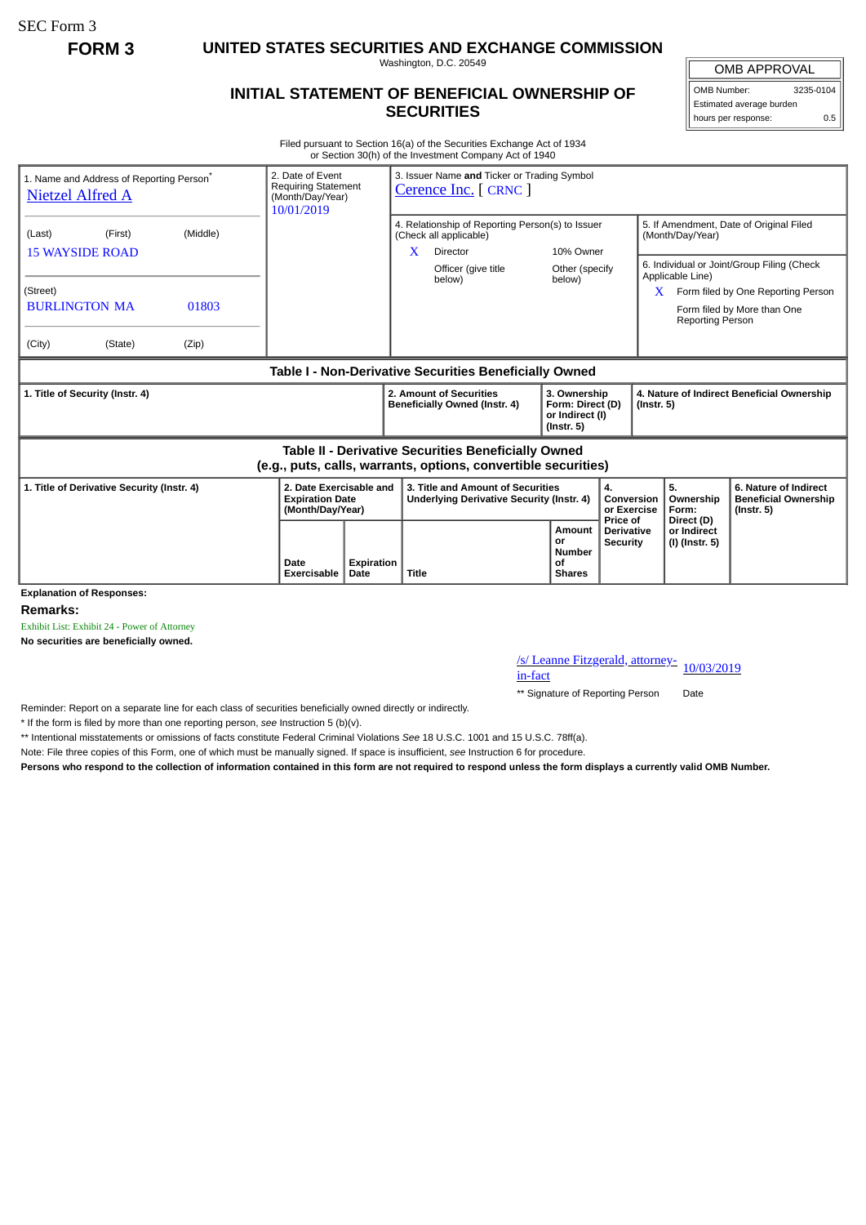SEC Form 3

**FORM 3 UNITED STATES SECURITIES AND EXCHANGE COMMISSION**

Washington, D.C. 20549

## **INITIAL STATEMENT OF BENEFICIAL OWNERSHIP OF SECURITIES**

OMB APPROVAL OMB Number: 3235-0104

Estimated average burden hours per response: 0.5

Filed pursuant to Section 16(a) of the Securities Exchange Act of 1934 or Section 30(h) of the Investment Company Act of 1940

| 1. Name and Address of Reporting Person <sup>®</sup><br><b>Nietzel Alfred A</b>                                       | 2. Date of Event<br><b>Requiring Statement</b><br>(Month/Day/Year)<br>10/01/2019 |                         | 3. Issuer Name and Ticker or Trading Symbol<br>Cerence Inc. [ CRNC ]                               |                                                                         |                                                  |                                                             |                                                                                                                 |  |
|-----------------------------------------------------------------------------------------------------------------------|----------------------------------------------------------------------------------|-------------------------|----------------------------------------------------------------------------------------------------|-------------------------------------------------------------------------|--------------------------------------------------|-------------------------------------------------------------|-----------------------------------------------------------------------------------------------------------------|--|
| (Middle)<br>(Last)<br>(First)<br><b>15 WAYSIDE ROAD</b>                                                               |                                                                                  |                         | 4. Relationship of Reporting Person(s) to Issuer<br>(Check all applicable)<br>X<br><b>Director</b> | 10% Owner                                                               |                                                  | 5. If Amendment, Date of Original Filed<br>(Month/Day/Year) |                                                                                                                 |  |
| (Street)<br><b>BURLINGTON MA</b><br>01803                                                                             |                                                                                  |                         | Officer (give title<br>below)                                                                      | Other (specify<br>below)                                                |                                                  | Applicable Line)<br><b>Reporting Person</b>                 | 6. Individual or Joint/Group Filing (Check<br>Form filed by One Reporting Person<br>Form filed by More than One |  |
| (City)<br>(State)<br>(Zip)                                                                                            |                                                                                  |                         |                                                                                                    |                                                                         |                                                  |                                                             |                                                                                                                 |  |
| Table I - Non-Derivative Securities Beneficially Owned                                                                |                                                                                  |                         |                                                                                                    |                                                                         |                                                  |                                                             |                                                                                                                 |  |
| 1. Title of Security (Instr. 4)                                                                                       |                                                                                  |                         | 2. Amount of Securities<br>Beneficially Owned (Instr. 4)                                           | 3. Ownership<br>Form: Direct (D)<br>or Indirect (I)<br>$($ lnstr. 5 $)$ |                                                  | 4. Nature of Indirect Beneficial Ownership<br>(Instr. 5)    |                                                                                                                 |  |
| Table II - Derivative Securities Beneficially Owned<br>(e.g., puts, calls, warrants, options, convertible securities) |                                                                                  |                         |                                                                                                    |                                                                         |                                                  |                                                             |                                                                                                                 |  |
| 1. Title of Derivative Security (Instr. 4)<br><b>Expiration Date</b><br>(Month/Day/Year)                              |                                                                                  | 2. Date Exercisable and | 3. Title and Amount of Securities<br>Underlying Derivative Security (Instr. 4)                     |                                                                         | 4.<br>Conversion<br>or Exercise                  | 5.<br>Ownership<br>Form:                                    | 6. Nature of Indirect<br><b>Beneficial Ownership</b><br>$($ lnstr. 5 $)$                                        |  |
| <b>Explanation of Responses:</b>                                                                                      | Date<br>Exercisable                                                              | Expiration<br>Date      | <b>Title</b>                                                                                       | Amount<br>or<br><b>Number</b><br>Οf<br><b>Shares</b>                    | Price of<br><b>Derivative</b><br><b>Security</b> | Direct (D)<br>or Indirect<br>(I) (Instr. 5)                 |                                                                                                                 |  |

**Remarks:**

Exhibit List: Exhibit 24 - Power of Attorney

**No securities are beneficially owned.**

/s/ Leanne Fitzgerald, attorney-<br>in-fact

\*\* Signature of Reporting Person Date

Reminder: Report on a separate line for each class of securities beneficially owned directly or indirectly.

\* If the form is filed by more than one reporting person, *see* Instruction 5 (b)(v).

\*\* Intentional misstatements or omissions of facts constitute Federal Criminal Violations *See* 18 U.S.C. 1001 and 15 U.S.C. 78ff(a).

Note: File three copies of this Form, one of which must be manually signed. If space is insufficient, *see* Instruction 6 for procedure.

**Persons who respond to the collection of information contained in this form are not required to respond unless the form displays a currently valid OMB Number.**